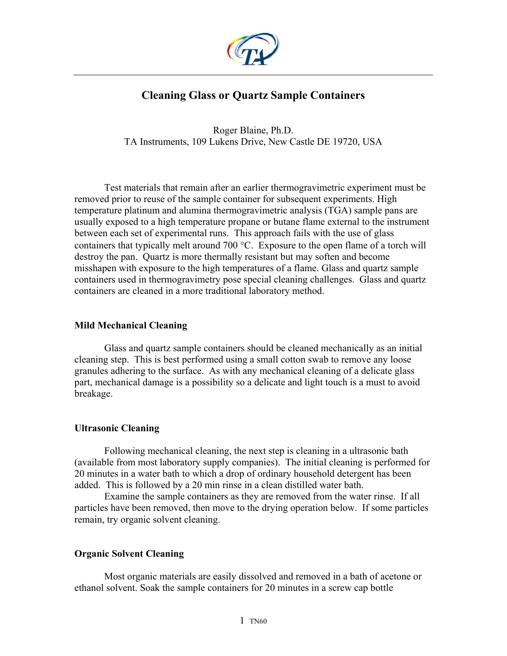

# **Cleaning Glass or Quartz Sample Containers**

Roger Blaine, Ph.D. TA Instruments, 109 Lukens Drive, New Castle DE 19720, USA

Test materials that remain after an earlier thermogravimetric experiment must be removed prior to reuse of the sample container for subsequent experiments. High temperature platinum and alumina thermogravimetric analysis (TGA) sample pans are usually exposed to a high temperature propane or butane flame external to the instrument between each set of experimental runs. This approach fails with the use of glass containers that typically melt around 700 °C. Exposure to the open flame of a torch will destroy the pan. Quartz is more thermally resistant but may soften and become misshapen with exposure to the high temperatures of a flame. Glass and quartz sample containers used in thermogravimetry pose special cleaning challenges. Glass and quartz containers are cleaned in a more traditional laboratory method.

### **Mild Mechanical Cleaning**

Glass and quartz sample containers should be cleaned mechanically as an initial cleaning step. This is best performed using a small cotton swab to remove any loose granules adhering to the surface. As with any mechanical cleaning of a delicate glass part, mechanical damage is a possibility so a delicate and light touch is a must to avoid breakage.

# **Ultrasonic Cleaning**

Following mechanical cleaning, the next step is cleaning in a ultrasonic bath (available from most laboratory supply companies). The initial cleaning is performed for 20 minutes in a water bath to which a drop of ordinary household detergent has been added. This is followed by a 20 min rinse in a clean distilled water bath.

Examine the sample containers as they are removed from the water rinse. If all particles have been removed, then move to the drying operation below. If some particles remain, try organic solvent cleaning.

# **Organic Solvent Cleaning**

Most organic materials are easily dissolved and removed in a bath of acetone or ethanol solvent. Soak the sample containers for 20 minutes in a screw cap bottle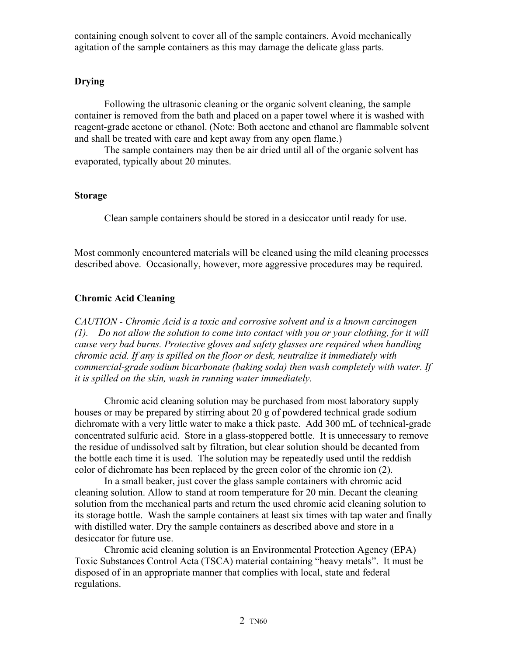containing enough solvent to cover all of the sample containers. Avoid mechanically agitation of the sample containers as this may damage the delicate glass parts.

# **Drying**

Following the ultrasonic cleaning or the organic solvent cleaning, the sample container is removed from the bath and placed on a paper towel where it is washed with reagent-grade acetone or ethanol. (Note: Both acetone and ethanol are flammable solvent and shall be treated with care and kept away from any open flame.)

The sample containers may then be air dried until all of the organic solvent has evaporated, typically about 20 minutes.

### **Storage**

Clean sample containers should be stored in a desiccator until ready for use.

Most commonly encountered materials will be cleaned using the mild cleaning processes described above. Occasionally, however, more aggressive procedures may be required.

# **Chromic Acid Cleaning**

*CAUTION - Chromic Acid is a toxic and corrosive solvent and is a known carcinogen (1). Do not allow the solution to come into contact with you or your clothing, for it will cause very bad burns. Protective gloves and safety glasses are required when handling chromic acid. If any is spilled on the floor or desk, neutralize it immediately with commercial-grade sodium bicarbonate (baking soda) then wash completely with water. If it is spilled on the skin, wash in running water immediately.* 

Chromic acid cleaning solution may be purchased from most laboratory supply houses or may be prepared by stirring about 20 g of powdered technical grade sodium dichromate with a very little water to make a thick paste. Add 300 mL of technical-grade concentrated sulfuric acid. Store in a glass-stoppered bottle. It is unnecessary to remove the residue of undissolved salt by filtration, but clear solution should be decanted from the bottle each time it is used. The solution may be repeatedly used until the reddish color of dichromate has been replaced by the green color of the chromic ion (2).

In a small beaker, just cover the glass sample containers with chromic acid cleaning solution. Allow to stand at room temperature for 20 min. Decant the cleaning solution from the mechanical parts and return the used chromic acid cleaning solution to its storage bottle. Wash the sample containers at least six times with tap water and finally with distilled water. Dry the sample containers as described above and store in a desiccator for future use.

Chromic acid cleaning solution is an Environmental Protection Agency (EPA) Toxic Substances Control Acta (TSCA) material containing "heavy metals". It must be disposed of in an appropriate manner that complies with local, state and federal regulations.